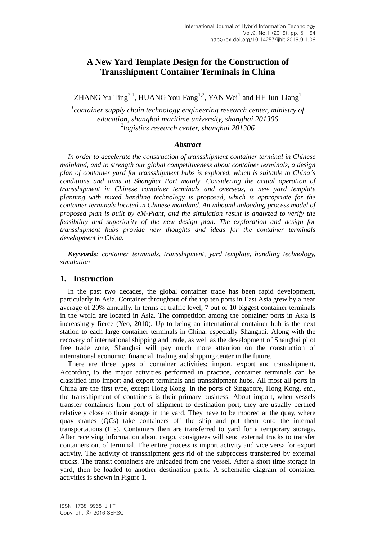# **A New Yard Template Design for the Construction of Transshipment Container Terminals in China**

ZHANG Yu-Ting<sup>2,1</sup>, HUANG You-Fang<sup>1,2</sup>, YAN Wei<sup>1</sup> and HE Jun-Liang<sup>1</sup>

<sup>1</sup> container supply chain technology engineering research center, ministry of *education, shanghai maritime university, shanghai 201306 2 logistics research center, shanghai 201306*

### *Abstract*

*In order to accelerate the construction of transshipment container terminal in Chinese mainland, and to strength our global competitiveness about container terminals, a design plan of container yard for transshipment hubs is explored, which is suitable to China's conditions and aims at Shanghai Port mainly. Considering the actual operation of transshipment in Chinese container terminals and overseas, a new yard template planning with mixed handling technology is proposed, which is appropriate for the container terminals located in Chinese mainland. An inbound unloading process model of proposed plan is built by eM-Plant, and the simulation result is analyzed to verify the feasibility and superiority of the new design plan. The exploration and design for transshipment hubs provide new thoughts and ideas for the container terminals development in China.*

*Keywords: container terminals, transshipment, yard template, handling technology, simulation*

### **1. Instruction**

In the past two decades, the global container trade has been rapid development, particularly in Asia. Container throughput of the top ten ports in East Asia grew by a near average of 20% annually. In terms of traffic level, 7 out of 10 biggest container terminals in the world are located in Asia. The competition among the container ports in Asia is increasingly fierce (Yeo, 2010). Up to being an international container hub is the next station to each large container terminals in China, especially Shanghai. Along with the recovery of international shipping and trade, as well as the development of Shanghai pilot free trade zone, Shanghai will pay much more attention on the construction of international economic, financial, trading and shipping center in the future.

There are three types of container activities: import, export and transshipment. According to the major activities performed in practice, container terminals can be classified into import and export terminals and transshipment hubs. All most all ports in China are the first type, except Hong Kong. In the ports of Singapore, Hong Kong, *etc.*, the transshipment of containers is their primary business. About import, when vessels transfer containers from port of shipment to destination port, they are usually berthed relatively close to their storage in the yard. They have to be moored at the quay, where quay cranes (QCs) take containers off the ship and put them onto the internal transportations (ITs). Containers then are transferred to yard for a temporary storage. After receiving information about cargo, consignees will send external trucks to transfer containers out of terminal. The entire process is import activity and vice versa for export activity. The activity of transshipment gets rid of the subprocess transferred by external trucks. The transit containers are unloaded from one vessel. After a short time storage in yard, then be loaded to another destination ports. A schematic diagram of container activities is shown in Figure 1.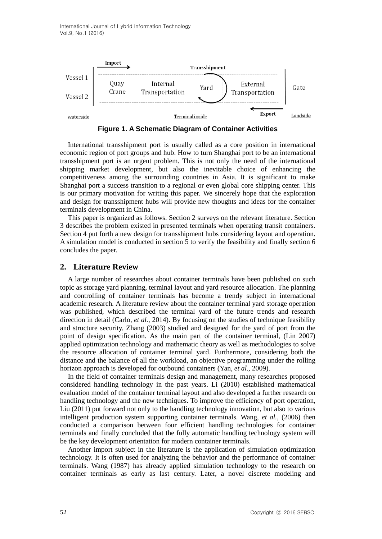



International transshipment port is usually called as a core position in international economic region of port groups and hub. How to turn Shanghai port to be an international transshipment port is an urgent problem. This is not only the need of the international shipping market development, but also the inevitable choice of enhancing the competitiveness among the surrounding countries in Asia. It is significant to make Shanghai port a success transition to a regional or even global core shipping center. This is our primary motivation for writing this paper. We sincerely hope that the exploration and design for transshipment hubs will provide new thoughts and ideas for the container terminals development in China.

This paper is organized as follows. Section 2 surveys on the relevant literature. Section 3 describes the problem existed in presented terminals when operating transit containers. Section 4 put forth a new design for transshipment hubs considering layout and operation. A simulation model is conducted in section 5 to verify the feasibility and finally section 6 concludes the paper.

## **2. Literature Review**

A large number of researches about container terminals have been published on such topic as storage yard planning, terminal layout and yard resource allocation. The planning and controlling of container terminals has become a trendy subject in international academic research. A literature review about the container terminal yard storage operation was published, which described the terminal yard of the future trends and research direction in detail (Carlo, *et al.,* 2014). By focusing on the studies of technique feasibility and structure security, Zhang (2003) studied and designed for the yard of port from the point of design specification. As the main part of the container terminal, (Lin 2007) applied optimization technology and mathematic theory as well as methodologies to solve the resource allocation of container terminal yard. Furthermore, considering both the distance and the balance of all the workload, an objective programming under the rolling horizon approach is developed for outbound containers (Yan, *et al.,* 2009).

In the field of container terminals design and management, many researches proposed considered handling technology in the past years. Li (2010) established mathematical evaluation model of the container terminal layout and also developed a further research on handling technology and the new techniques. To improve the efficiency of port operation, Liu (2011) put forward not only to the handling technology innovation, but also to various intelligent production system supporting container terminals. Wang, *et al.,* (2006) then conducted a comparison between four efficient handling technologies for container terminals and finally concluded that the fully automatic handling technology system will be the key development orientation for modern container terminals.

Another import subject in the literature is the application of simulation optimization technology. It is often used for analyzing the behavior and the performance of container terminals. Wang (1987) has already applied simulation technology to the research on container terminals as early as last century. Later, a novel discrete modeling and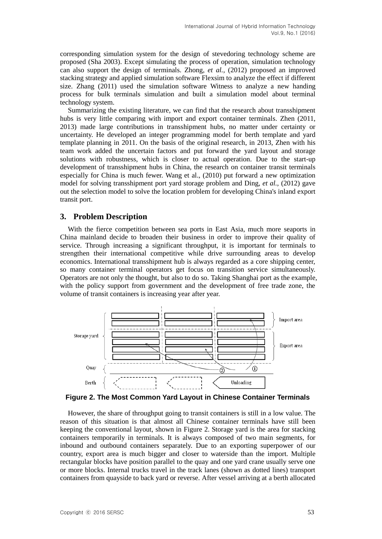corresponding simulation system for the design of stevedoring technology scheme are proposed (Sha 2003). Except simulating the process of operation, simulation technology can also support the design of terminals. Zhong, *et al.,* (2012) proposed an improved stacking strategy and applied simulation software Flexsim to analyze the effect if different size. Zhang (2011) used the simulation software Witness to analyze a new handing process for bulk terminals simulation and built a simulation model about terminal technology system.

Summarizing the existing literature, we can find that the research about transshipment hubs is very little comparing with import and export container terminals. Zhen (2011, 2013) made large contributions in transshipment hubs, no matter under certainty or uncertainty. He developed an integer programming model for berth template and yard template planning in 2011. On the basis of the original research, in 2013, Zhen with his team work added the uncertain factors and put forward the yard layout and storage solutions with robustness, which is closer to actual operation. Due to the start-up development of transshipment hubs in China, the research on container transit terminals especially for China is much fewer. Wang et al., (2010) put forward a new optimization model for solving transshipment port yard storage problem and Ding, *et al.,* (2012) gave out the selection model to solve the location problem for developing China's inland export transit port.

## **3. Problem Description**

With the fierce competition between sea ports in East Asia, much more seaports in China mainland decide to broaden their business in order to improve their quality of service. Through increasing a significant throughput, it is important for terminals to strengthen their international competitive while drive surrounding areas to develop economics. International transshipment hub is always regarded as a core shipping center, so many container terminal operators get focus on transition service simultaneously. Operators are not only the thought, but also to do so. Taking Shanghai port as the example, with the policy support from government and the development of free trade zone, the volume of transit containers is increasing year after year.



**Figure 2. The Most Common Yard Layout in Chinese Container Terminals**

However, the share of throughput going to transit containers is still in a low value. The reason of this situation is that almost all Chinese container terminals have still been keeping the conventional layout, shown in Figure 2. Storage yard is the area for stacking containers temporarily in terminals. It is always composed of two main segments, for inbound and outbound containers separately. Due to an exporting superpower of our country, export area is much bigger and closer to waterside than the import. Multiple rectangular blocks have position parallel to the quay and one yard crane usually serve one or more blocks. Internal trucks travel in the track lanes (shown as dotted lines) transport containers from quayside to back yard or reverse. After vessel arriving at a berth allocated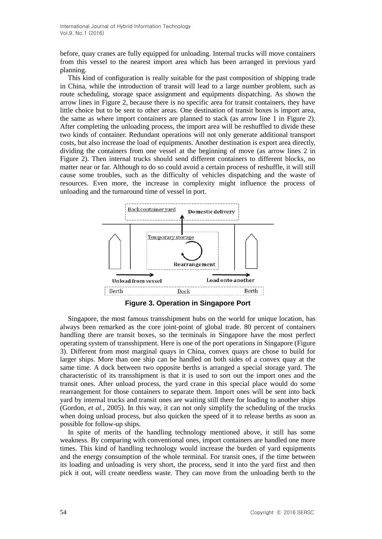before, quay cranes are fully equipped for unloading. Internal trucks will move containers from this vessel to the nearest import area which has been arranged in previous yard planning.

This kind of configuration is really suitable for the past composition of shipping trade in China, while the introduction of transit will lead to a large number problem, such as route scheduling, storage space assignment and equipments dispatching. As shown the arrow lines in Figure 2, because there is no specific area for transit containers, they have little choice but to be sent to other areas. One destination of transit boxes is import area, the same as where import containers are planned to stack (as arrow line 1 in Figure 2). After completing the unloading process, the import area will be reshuffled to divide these two kinds of container. Redundant operations will not only generate additional transport costs, but also increase the load of equipments. Another destination is export area directly, dividing the containers from one vessel at the beginning of move (as arrow lines 2 in Figure 2). Then internal trucks should send different containers to different blocks, no matter near or far. Although to do so could avoid a certain process of reshuffle, it will still cause some troubles, such as the difficulty of vehicles dispatching and the waste of resources. Even more, the increase in complexity might influence the process of unloading and the turnaround time of vessel in port.



**Figure 3. Operation in Singapore Port**

Singapore, the most famous transshipment hubs on the world for unique location, has always been remarked as the core joint-point of global trade. 80 percent of containers handling there are transit boxes, so the terminals in Singapore have the most perfect operating system of transshipment. Here is one of the port operations in Singapore (Figure 3). Different from most marginal quays in China, convex quays are chose to build for larger ships. More than one ship can be handled on both sides of a convex quay at the same time. A dock between two opposite berths is arranged a special storage yard. The characteristic of its transshipment is that it is used to sort out the import ones and the transit ones. After unload process, the yard crane in this special place would do some rearrangement for those containers to separate them. Import ones will be sent into back yard by internal trucks and transit ones are waiting still there for loading to another ships (Gordon, *et al.,* 2005). In this way, it can not only simplify the scheduling of the trucks when doing unload process, but also quicken the speed of it to release berths as soon as possible for follow-up ships.

In spite of merits of the handling technology mentioned above, it still has some weakness. By comparing with conventional ones, import containers are handled one more times. This kind of handling technology would increase the burden of yard equipments and the energy consumption of the whole terminal. For transit ones, if the time between its loading and unloading is very short, the process, send it into the yard first and then pick it out, will create needless waste. They can move from the unloading berth to the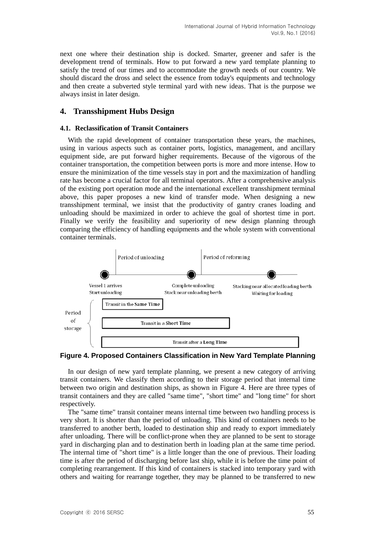next one where their destination ship is docked. Smarter, greener and safer is the development trend of terminals. How to put forward a new yard template planning to satisfy the trend of our times and to accommodate the growth needs of our country. We should discard the dross and select the essence from today's equipments and technology and then create a subverted style terminal yard with new ideas. That is the purpose we always insist in later design.

## **4. Transshipment Hubs Design**

### **4.1. Reclassification of Transit Containers**

With the rapid development of container transportation these years, the machines, using in various aspects such as container ports, logistics, management, and ancillary equipment side, are put forward higher requirements. Because of the vigorous of the container transportation, the competition between ports is more and more intense. How to ensure the minimization of the time vessels stay in port and the maximization of handling rate has become a crucial factor for all terminal operators. After a comprehensive analysis of the existing port operation mode and the international excellent transshipment terminal above, this paper proposes a new kind of transfer mode. When designing a new transshipment terminal, we insist that the productivity of gantry cranes loading and unloading should be maximized in order to achieve the goal of shortest time in port. Finally we verify the feasibility and superiority of new design planning through comparing the efficiency of handling equipments and the whole system with conventional container terminals.



### **Figure 4. Proposed Containers Classification in New Yard Template Planning**

In our design of new yard template planning, we present a new category of arriving transit containers. We classify them according to their storage period that internal time between two origin and destination ships, as shown in Figure 4. Here are three types of transit containers and they are called "same time", "short time" and "long time" for short respectively.

The "same time" transit container means internal time between two handling process is very short. It is shorter than the period of unloading. This kind of containers needs to be transferred to another berth, loaded to destination ship and ready to export immediately after unloading. There will be conflict-prone when they are planned to be sent to storage yard in discharging plan and to destination berth in loading plan at the same time period. The internal time of "short time" is a little longer than the one of previous. Their loading time is after the period of discharging before last ship, while it is before the time point of completing rearrangement. If this kind of containers is stacked into temporary yard with others and waiting for rearrange together, they may be planned to be transferred to new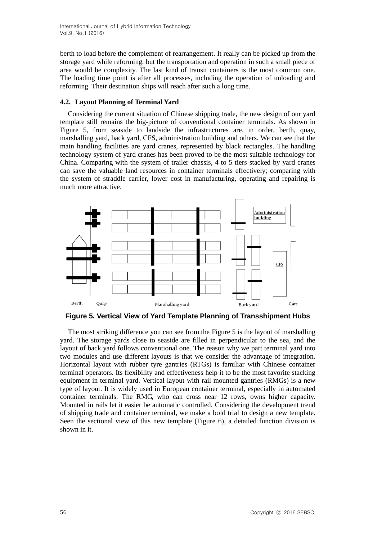International Journal of Hybrid Information Technology Vol.9, No.1 (2016)

berth to load before the complement of rearrangement. It really can be picked up from the storage yard while reforming, but the transportation and operation in such a small piece of area would be complexity. The last kind of transit containers is the most common one. The loading time point is after all processes, including the operation of unloading and reforming. Their destination ships will reach after such a long time.

#### **4.2. Layout Planning of Terminal Yard**

Considering the current situation of Chinese shipping trade, the new design of our yard template still remains the big-picture of conventional container terminals. As shown in Figure 5, from seaside to landside the infrastructures are, in order, berth, quay, marshalling yard, back yard, CFS, administration building and others. We can see that the main handling facilities are yard cranes, represented by black rectangles. The handling technology system of yard cranes has been proved to be the most suitable technology for China. Comparing with the system of trailer chassis, 4 to 5 tiers stacked by yard cranes can save the valuable land resources in container terminals effectively; comparing with the system of straddle carrier, lower cost in manufacturing, operating and repairing is much more attractive.



**Figure 5. Vertical View of Yard Template Planning of Transshipment Hubs**

The most striking difference you can see from the Figure 5 is the layout of marshalling yard. The storage yards close to seaside are filled in perpendicular to the sea, and the layout of back yard follows conventional one. The reason why we part terminal yard into two modules and use different layouts is that we consider the advantage of integration. Horizontal layout with rubber tyre gantries (RTGs) is familiar with Chinese container terminal operators. Its flexibility and effectiveness help it to be the most favorite stacking equipment in terminal yard. Vertical layout with rail mounted gantries (RMGs) is a new type of layout. It is widely used in European container terminal, especially in automated container terminals. The RMG, who can cross near 12 rows, owns higher capacity. Mounted in rails let it easier be automatic controlled. Considering the development trend of shipping trade and container terminal, we make a bold trial to design a new template. Seen the sectional view of this new template (Figure 6), a detailed function division is shown in it.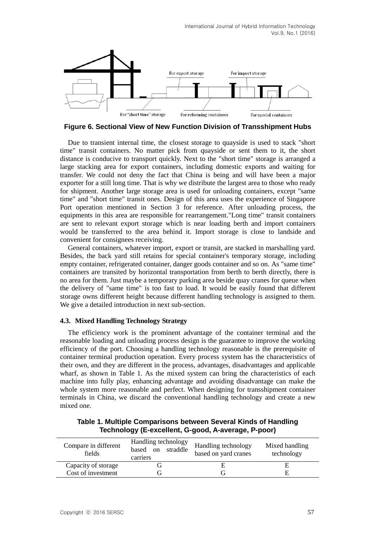

**Figure 6. Sectional View of New Function Division of Transshipment Hubs**

Due to transient internal time, the closest storage to quayside is used to stack "short time" transit containers. No matter pick from quayside or sent them to it, the short distance is conducive to transport quickly. Next to the "short time" storage is arranged a large stacking area for export containers, including domestic exports and waiting for transfer. We could not deny the fact that China is being and will have been a major exporter for a still long time. That is why we distribute the largest area to those who ready for shipment. Another large storage area is used for unloading containers, except "same time" and "short time" transit ones. Design of this area uses the experience of Singapore Port operation mentioned in Section 3 for reference. After unloading process, the equipments in this area are responsible for rearrangement."Long time" transit containers are sent to relevant export storage which is near loading berth and import containers would be transferred to the area behind it. Import storage is close to landside and convenient for consignees receiving.

General containers, whatever import, export or transit, are stacked in marshalling yard. Besides, the back yard still retains for special container's temporary storage, including empty container, refrigerated container, danger goods container and so on. As "same time" containers are transited by horizontal transportation from berth to berth directly, there is no area for them. Just maybe a temporary parking area beside quay cranes for queue when the delivery of "same time" is too fast to load. It would be easily found that different storage owns different height because different handling technology is assigned to them. We give a detailed introduction in next sub-section.

### **4.3. Mixed Handling Technology Strategy**

The efficiency work is the prominent advantage of the container terminal and the reasonable loading and unloading process design is the guarantee to improve the working efficiency of the port. Choosing a handling technology reasonable is the prerequisite of container terminal production operation. Every process system has the characteristics of their own, and they are different in the process, advantages, disadvantages and applicable wharf, as shown in Table 1. As the mixed system can bring the characteristics of each machine into fully play, enhancing advantage and avoiding disadvantage can make the whole system more reasonable and perfect. When designing for transshipment container terminals in China, we discard the conventional handling technology and create a new mixed one.

| Table 1. Multiple Comparisons between Several Kinds of Handling |  |
|-----------------------------------------------------------------|--|
| Technology (E-excellent, G-good, A-average, P-poor)             |  |

| Compare in different<br>fields | Handling technology<br>based on<br>straddle<br>carriers | Handling technology<br>based on yard cranes | Mixed handling<br>technology |
|--------------------------------|---------------------------------------------------------|---------------------------------------------|------------------------------|
| Capacity of storage            |                                                         |                                             |                              |
| Cost of investment             |                                                         |                                             | F                            |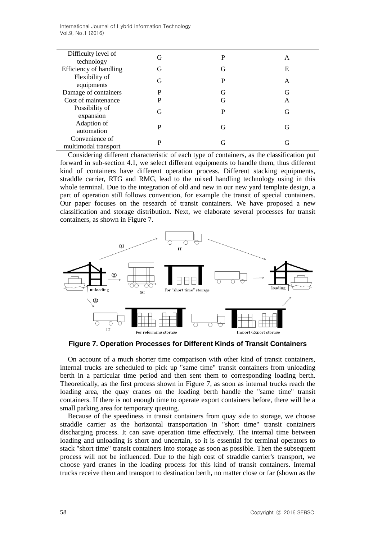International Journal of Hybrid Information Technology Vol.9, No.1 (2016)

| Difficulty level of<br>technology      | G | P | А |
|----------------------------------------|---|---|---|
| Efficiency of handling                 | G | G | Е |
| Flexibility of<br>equipments           | G | P | Α |
| Damage of containers                   | P | G | G |
| Cost of maintenance                    | P | G | Α |
| Possibility of<br>expansion            | G | P | G |
| Adaption of<br>automation              | P | G | G |
| Convenience of<br>multimodal transport | P | G | G |

Considering different characteristic of each type of containers, as the classification put forward in sub-section 4.1, we select different equipments to handle them, thus different kind of containers have different operation process. Different stacking equipments, straddle carrier, RTG and RMG, lead to the mixed handling technology using in this whole terminal. Due to the integration of old and new in our new yard template design, a part of operation still follows convention, for example the transit of special containers. Our paper focuses on the research of transit containers. We have proposed a new classification and storage distribution. Next, we elaborate several processes for transit containers, as shown in Figure 7.



**Figure 7. Operation Processes for Different Kinds of Transit Containers** 

On account of a much shorter time comparison with other kind of transit containers, internal trucks are scheduled to pick up "same time" transit containers from unloading berth in a particular time period and then sent them to corresponding loading berth. Theoretically, as the first process shown in Figure 7, as soon as internal trucks reach the loading area, the quay cranes on the loading berth handle the "same time" transit containers. If there is not enough time to operate export containers before, there will be a small parking area for temporary queuing.

Because of the speediness in transit containers from quay side to storage, we choose straddle carrier as the horizontal transportation in "short time" transit containers discharging process. It can save operation time effectively. The internal time between loading and unloading is short and uncertain, so it is essential for terminal operators to stack "short time" transit containers into storage as soon as possible. Then the subsequent process will not be influenced. Due to the high cost of straddle carrier's transport, we choose yard cranes in the loading process for this kind of transit containers. Internal trucks receive them and transport to destination berth, no matter close or far (shown as the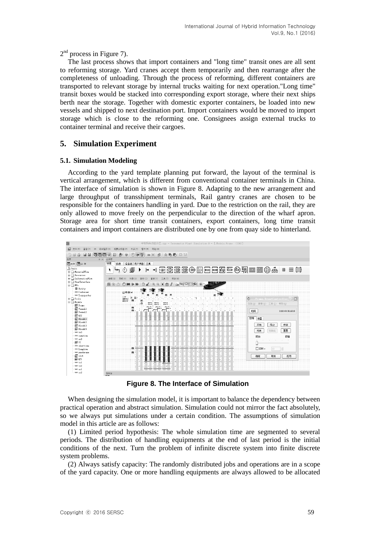$2<sup>nd</sup>$  process in Figure 7).

The last process shows that import containers and "long time" transit ones are all sent to reforming storage. Yard cranes accept them temporarily and then rearrange after the completeness of unloading. Through the process of reforming, different containers are transported to relevant storage by internal trucks waiting for next operation."Long time" transit boxes would be stacked into corresponding export storage, where their next ships berth near the storage. Together with domestic exporter containers, be loaded into new vessels and shipped to next destination port. Import containers would be moved to import storage which is close to the reforming one. Consignees assign external trucks to container terminal and receive their cargoes.

## **5. Simulation Experiment**

## **5.1. Simulation Modeling**

According to the yard template planning put forward, the layout of the terminal is vertical arrangement, which is different from conventional container terminals in China. The interface of simulation is shown in Figure 8. Adapting to the new arrangement and large throughput of transshipment terminals, Rail gantry cranes are chosen to be responsible for the containers handling in yard. Due to the restriction on the rail, they are only allowed to move freely on the perpendicular to the direction of the wharf apron. Storage area for short time transit containers, export containers, long time transit containers and import containers are distributed one by one from quay side to hinterland.



**Figure 8. The Interface of Simulation**

When designing the simulation model, it is important to balance the dependency between practical operation and abstract simulation. Simulation could not mirror the fact absolutely, so we always put simulations under a certain condition. The assumptions of simulation model in this article are as follows:

(1) Limited period hypothesis: The whole simulation time are segmented to several periods. The distribution of handling equipments at the end of last period is the initial conditions of the next. Turn the problem of infinite discrete system into finite discrete system problems.

(2) Always satisfy capacity: The randomly distributed jobs and operations are in a scope of the yard capacity. One or more handling equipments are always allowed to be allocated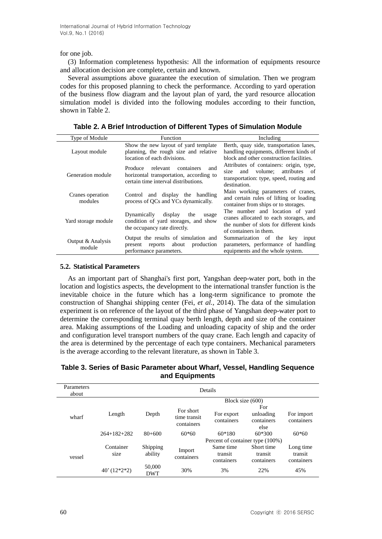for one job.

(3) Information completeness hypothesis: All the information of equipments resource and allocation decision are complete, certain and known.

Several assumptions above guarantee the execution of simulation. Then we program codes for this proposed planning to check the performance. According to yard operation of the business flow diagram and the layout plan of yard, the yard resource allocation simulation model is divided into the following modules according to their function, shown in Table 2.

**Table 2. A Brief Introduction of Different Types of Simulation Module**

| Type of Module              | <b>Function</b>                                                                                                | Including                                                                                                                                      |
|-----------------------------|----------------------------------------------------------------------------------------------------------------|------------------------------------------------------------------------------------------------------------------------------------------------|
|                             | Show the new layout of yard template                                                                           | Berth, quay side, transportation lanes,                                                                                                        |
| Layout module               | planning, the rough size and relative                                                                          | handling equipments, different kinds of                                                                                                        |
|                             | location of each divisions.                                                                                    | block and other construction facilities.                                                                                                       |
| Generation module           | relevant containers<br>and<br>Produce<br>horizontal transportation, according to                               | Attributes of containers: origin, type,<br>and volume:<br>attributes of<br>size<br>transportation: type, speed, routing and                    |
|                             | certain time interval distributions.                                                                           | destination.                                                                                                                                   |
| Cranes operation<br>modules | Control and display the handling<br>process of OCs and YCs dynamically.                                        | Main working parameters of cranes,<br>and certain rules of lifting or loading<br>container from ships or to storages.                          |
| Yard storage module         | Dynamically<br>display<br>the<br>usage<br>condition of yard storages, and show<br>the occupancy rate directly. | The number and location of yard<br>cranes allocated to each storages, and<br>the number of slots for different kinds<br>of containers in them. |
| Output & Analysis<br>module | Output the results of simulation and<br>about<br>production<br>present<br>reports<br>performance parameters.   | Summarization of the key<br>input<br>parameters, performance of handling<br>equipments and the whole system.                                   |

### **5.2. Statistical Parameters**

As an important part of Shanghai's first port, Yangshan deep-water port, both in the location and logistics aspects, the development to the international transfer function is the inevitable choice in the future which has a long-term significance to promote the construction of Shanghai shipping center (Fei, *et al.,* 2014). The data of the simulation experiment is on reference of the layout of the third phase of Yangshan deep-water port to determine the corresponding terminal quay berth length, depth and size of the container area. Making assumptions of the Loading and unloading capacity of ship and the order and configuration level transport numbers of the quay crane. Each length and capacity of the area is determined by the percentage of each type containers. Mechanical parameters is the average according to the relevant literature, as shown in Table 3.

## **Table 3. Series of Basic Parameter about Wharf, Vessel, Handling Sequence and Equipments**

| Parameters<br>about | Details           |                      |                                         |                                    |                                        |                                    |
|---------------------|-------------------|----------------------|-----------------------------------------|------------------------------------|----------------------------------------|------------------------------------|
|                     |                   |                      |                                         | Block size (600)                   |                                        |                                    |
| wharf               | Length            | Depth                | For short<br>time transit<br>containers | For export<br>containers           | For<br>unloading<br>containers<br>else | For import<br>containers           |
|                     | $264+182+282$     | $80 + 600$           | $60*60$                                 | $60*180$                           | $60*300$                               | $60*60$                            |
|                     |                   |                      | Percent of container type (100%)        |                                    |                                        |                                    |
| vessel              | Container<br>size | Shipping<br>ability  | Import<br>containers                    | Same time<br>transit<br>containers | Short time<br>transit<br>containers    | Long time<br>transit<br>containers |
|                     | $40'(12*2*2)$     | 50,000<br><b>DWT</b> | 30%                                     | 3%                                 | 22%                                    | 45%                                |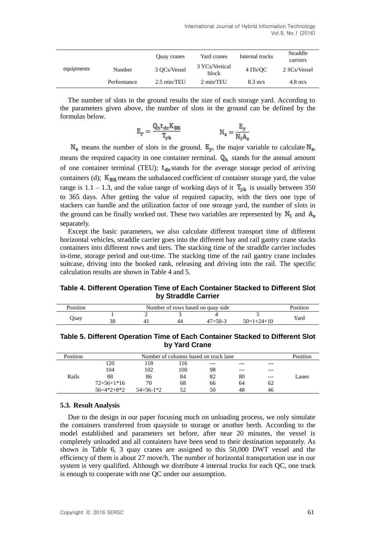|            |             | <b>Ouay cranes</b> | Yard cranes             | Internal trucks    | Straddle<br>carriers |
|------------|-------------|--------------------|-------------------------|--------------------|----------------------|
| equipments | Number      | 3 OCs/Vessel       | 3 YCs/Vertical<br>block | $4 \text{ ITs/OC}$ | 2 SCs/Vessel         |
|            | Performance | 2.5 min/TEU        | 2 min/TEU               | $8.3 \text{ m/s}$  | $4.8 \text{ m/s}$    |

The number of slots in the ground results the size of each storage yard. According to the parameters given above, the number of slots in the ground can be defined by the formulas below.

$$
E_y = \frac{Q_h t_{dc} K_{BK}}{T_{yk}} \qquad N_s = \frac{E_y}{N_l A_s}
$$

 $N_s$  means the number of slots in the ground.  $E_y$ , the major variable to calculate  $N_s$ , means the required capacity in one container terminal.  $Q_h$  stands for the annual amount of one container terminal (TEU);  $t_{dc}$  stands for the average storage period of arriving containers (d);  $K_{BK}$  means the unbalanced coefficient of container storage yard, the value range is 1.1 – 1.3, and the value range of working days of it  $T_{\text{vk}}$  is usually between 350 to 365 days. After getting the value of required capacity, with the tiers one type of stackers can handle and the utilization factor of one storage yard, the number of slots in the ground can be finally worked out. These two variables are represented by  $N_1$  and  $A_s$ separately.

Except the basic parameters, we also calculate different transport time of different horizontal vehicles, straddle carrier goes into the different bay and rail gantry crane stacks containers into different rows and tiers. The stacking time of the straddle carrier includes in-time, storage period and out-time. The stacking time of the rail gantry crane includes suitcase, driving into the booked rank, releasing and driving into the rail. The specific calculation results are shown in Table 4 and 5.

**Table 4. Different Operation Time of Each Container Stacked to Different Slot by Straddle Carrier**

| <b>Position</b> | Number of rows based on quay side. |  |    |             |              | Position |
|-----------------|------------------------------------|--|----|-------------|--------------|----------|
|                 |                                    |  |    |             |              | Yard     |
| Juay            | აი                                 |  | 44 | $47 = 50-3$ | $50=1+24+10$ |          |

| Table 5. Different Operation Time of Each Container Stacked to Different Slot |
|-------------------------------------------------------------------------------|
| by Yard Crane                                                                 |

| <b>Position</b> |              |             |     | Number of columns based on truck lane |       |     | Position |
|-----------------|--------------|-------------|-----|---------------------------------------|-------|-----|----------|
|                 | 120          | 118         | 116 | $---$                                 | ---   | --- |          |
|                 | 104          | 102         | 100 | 98                                    | $---$ | --- |          |
| Rails           | 88           | 86          | 84  | 82                                    | 80    |     | Lanes    |
|                 | $72=56+1*16$ | 70          | 68  | 66                                    | 64    | 62  |          |
|                 | $56=4*2+8*2$ | $54=56-1*2$ |     | 50                                    | 48    | 46  |          |

### **5.3. Result Analysis**

Due to the design in our paper focusing much on unloading process, we only simulate the containers transferred from quayside to storage or another berth. According to the model established and parameters set before, after near 20 minutes, the vessel is completely unloaded and all containers have been send to their destination separately. As shown in Table 6, 3 quay cranes are assigned to this 50,000 DWT vessel and the efficiency of them is about 27 move/h. The number of horizontal transportation use in our system is very qualified. Although we distribute 4 internal trucks for each QC, one truck is enough to cooperate with one QC under our assumption.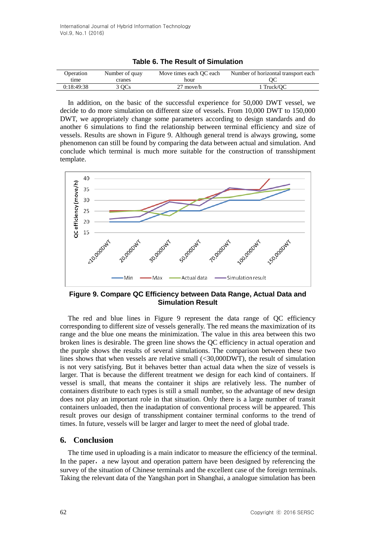| <b>Operation</b> | Number of quay | Move times each OC each | Number of horizontal transport each |
|------------------|----------------|-------------------------|-------------------------------------|
| time             | cranes         | hour                    |                                     |
| 0:18:49:38       | 3 OCs          | 27 move/h               | 1 Truck/OC                          |

| Table 6. The Result of Simulation |  |  |
|-----------------------------------|--|--|
|-----------------------------------|--|--|

In addition, on the basic of the successful experience for 50,000 DWT vessel, we decide to do more simulation on different size of vessels. From 10,000 DWT to 150,000 DWT, we appropriately change some parameters according to design standards and do another 6 simulations to find the relationship between terminal efficiency and size of vessels. Results are shown in Figure 9. Although general trend is always growing, some phenomenon can still be found by comparing the data between actual and simulation. And conclude which terminal is much more suitable for the construction of transshipment template.



**Figure 9. Compare QC Efficiency between Data Range, Actual Data and Simulation Result**

The red and blue lines in Figure 9 represent the data range of QC efficiency corresponding to different size of vessels generally. The red means the maximization of its range and the blue one means the minimization. The value in this area between this two broken lines is desirable. The green line shows the QC efficiency in actual operation and the purple shows the results of several simulations. The comparison between these two lines shows that when vessels are relative small (<30,000DWT), the result of simulation is not very satisfying. But it behaves better than actual data when the size of vessels is larger. That is because the different treatment we design for each kind of containers. If vessel is small, that means the container it ships are relatively less. The number of containers distribute to each types is still a small number, so the advantage of new design does not play an important role in that situation. Only there is a large number of transit containers unloaded, then the inadaptation of conventional process will be appeared. This result proves our design of transshipment container terminal conforms to the trend of times. In future, vessels will be larger and larger to meet the need of global trade.

## **6. Conclusion**

The time used in uploading is a main indicator to measure the efficiency of the terminal. In the paper, a new layout and operation pattern have been designed by referencing the survey of the situation of Chinese terminals and the excellent case of the foreign terminals. Taking the relevant data of the Yangshan port in Shanghai, a analogue simulation has been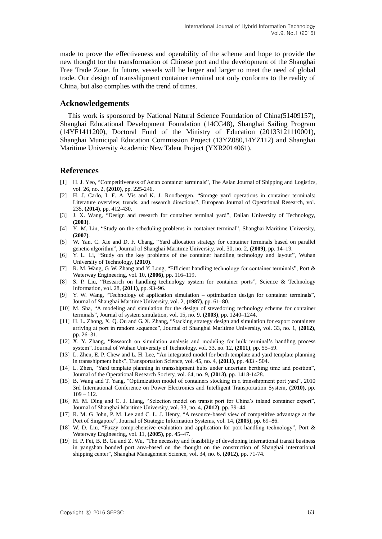made to prove the effectiveness and operability of the scheme and hope to provide the new thought for the transformation of Chinese port and the development of the Shanghai Free Trade Zone. In future, vessels will be larger and larger to meet the need of global trade. Our design of transshipment container terminal not only conforms to the reality of China, but also complies with the trend of times.

#### **Acknowledgements**

This work is sponsored by National Natural Science Foundation of China(51409157), Shanghai Educational Development Foundation (14CG48), Shanghai Sailing Program (14YF1411200), Doctoral Fund of the Ministry of Education (20133121110001), Shanghai Municipal Education Commission Project (13YZ080,14YZ112) and Shanghai Maritime University Academic New Talent Project (YXR2014061).

### **References**

- [1] H. J. Yeo, "Competitiveness of Asian container terminals", The Asian Journal of Shipping and Logistics, vol. 26, no. 2, **(2010)**, pp. 225-246.
- [2] H. J. Carlo, I. F. A. Vis and K. J. Roodbergen, "Storage yard operations in container terminals: Literature overview, trends, and research directions", European Journal of Operational Research, vol. 235, **(2014)**, pp. 412-430.
- [3] J. X. Wang, "Design and research for container terminal yard", Dalian University of Technology, **(2003)**.
- [4] Y. M. Lin, "Study on the scheduling problems in container terminal", Shanghai Maritime University, **(2007)**.
- [5] W. Yan, C. Xie and D. F. Chang, "Yard allocation strategy for container terminals based on parallel genetic algorithm", Journal of Shanghai Maritime University, vol. 30, no. 2, **(2009)**, pp. 14–19.
- [6] Y. L. Li, "Study on the key problems of the container handling technology and layout", Wuhan University of Technology, **(2010)**.
- [7] R. M. Wang, G. W. Zhang and Y. Long, "Efficient handling technology for container terminals", Port & Waterway Engineering, vol. 10, **(2006)**, pp. 116–119.
- [8] S. P. Liu, "Research on handling technology system for container ports", Science & Technology Information, vol. 28, **(2011)**, pp. 93–96.
- [9] Y. W. Wang, "Technology of application simulation optimization design for container terminals", Journal of Shanghai Maritime University, vol. 2, **(1987)**, pp. 61–80.
- [10] M. Sha, "A modeling and simulation for the design of stevedoring technology scheme for container terminals", Journal of system simulation, vol. 15, no. 9, **(2003)**, pp. 1240–1244.
- [11] H. L. Zhong, X. Q. Ou and G. X. Zhang, "Stacking strategy design and simulation for export containers arriving at port in random sequence", Journal of Shanghai Maritime University, vol. 33, no. 1, **(2012)**, pp. 26–31.
- [12] X. Y. Zhang, "Research on simulation analysis and modeling for bulk terminal's handling process system", Journal of Wuhan University of Technology, vol. 33, no. 12, **(2011)**, pp. 55–59.
- [13] L. Zhen, E. P. Chew and L. H. Lee, "An integrated model for berth template and yard template planning in transshipment hubs", Transportation Science, vol. 45, no. 4, **(2011)**, pp. 483 - 504.
- [14] L. Zhen, "Yard template planning in transshipment hubs under uncertain berthing time and position", Journal of the Operational Research Society, vol. 64, no. 9, **(2013)**, pp. 1418-1428.
- [15] B. Wang and T. Yang, "Optimization model of containers stocking in a transshipment port yard", 2010 3rd International Conference on Power Electronics and Intelligent Transportation System, **(2010)**, pp.  $109 - 112.$
- [16] M. M. Ding and C. J. Liang, "Selection model on transit port for China's inland container export", Journal of Shanghai Maritime University, vol. 33, no. 4, **(2012)**, pp. 39–44.
- [17] R. M. G. John, P. M. Lee and C. L. J. Henry, "A resource-based view of competitive advantage at the Port of Singapore", Journal of Strategic Information Systems, vol. 14, **(2005)**, pp. 69–86.
- [18] W. D. Liu, "Fuzzy comprehensive evaluation and application for port handling technology", Port & Waterway Engineering, vol. 11, **(2005)**, pp. 45–47.
- [19] H. P. Fei, B. B. Gu and Z. Wu, "The necessity and feasibility of developing international transit business in yangshan bonded port area-based on the thought on the construction of Shanghai international shipping center", Shanghai Management Science, vol. 34, no. 6, **(2012)**, pp. 71-74.